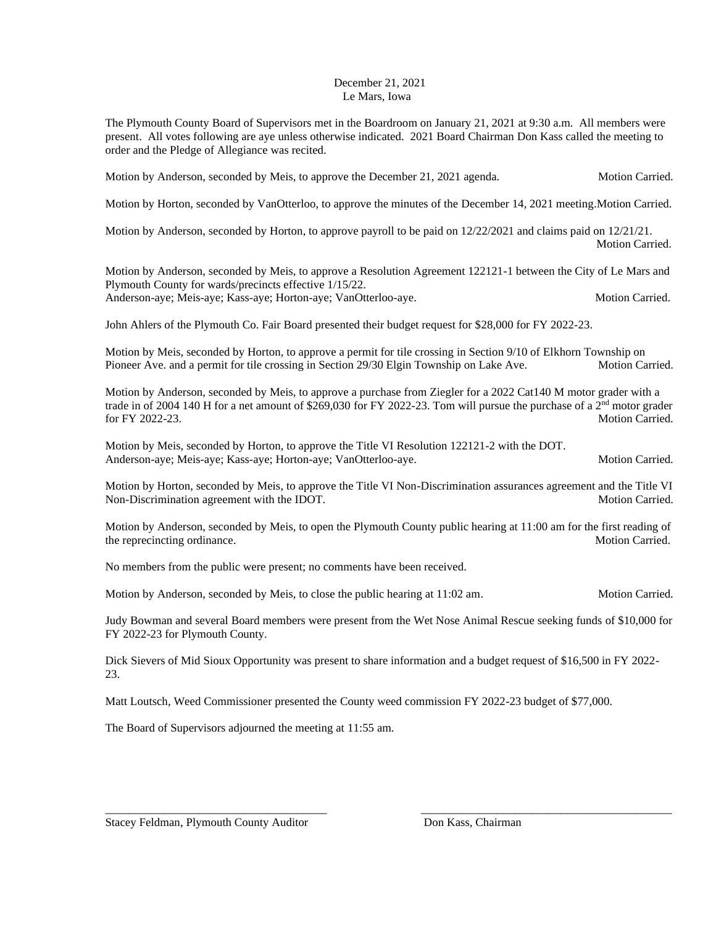## December 21, 2021 Le Mars, Iowa

The Plymouth County Board of Supervisors met in the Boardroom on January 21, 2021 at 9:30 a.m. All members were present. All votes following are aye unless otherwise indicated. 2021 Board Chairman Don Kass called the meeting to order and the Pledge of Allegiance was recited.

Motion by Anderson, seconded by Meis, to approve the December 21, 2021 agenda. Motion Carried.

Motion by Horton, seconded by VanOtterloo, to approve the minutes of the December 14, 2021 meeting.Motion Carried.

Motion by Anderson, seconded by Horton, to approve payroll to be paid on 12/22/2021 and claims paid on 12/21/21. Motion Carried.

Motion by Anderson, seconded by Meis, to approve a Resolution Agreement 122121-1 between the City of Le Mars and Plymouth County for wards/precincts effective 1/15/22. Anderson-aye; Meis-aye; Kass-aye; Horton-aye; VanOtterloo-aye. Motion Carried. Motion Carried.

John Ahlers of the Plymouth Co. Fair Board presented their budget request for \$28,000 for FY 2022-23.

Motion by Meis, seconded by Horton, to approve a permit for tile crossing in Section 9/10 of Elkhorn Township on Pioneer Ave. and a permit for tile crossing in Section 29/30 Elgin Township on Lake Ave. Motion Carried.

Motion by Anderson, seconded by Meis, to approve a purchase from Ziegler for a 2022 Cat140 M motor grader with a trade in of 2004 140 H for a net amount of \$269,030 for FY 2022-23. Tom will pursue the purchase of a 2<sup>nd</sup> motor grader for FY 2022-23. Motion Carried.

Motion by Meis, seconded by Horton, to approve the Title VI Resolution 122121-2 with the DOT. Anderson-aye; Meis-aye; Kass-aye; Horton-aye; VanOtterloo-aye. Motion Carried. Motion Carried.

Motion by Horton, seconded by Meis, to approve the Title VI Non-Discrimination assurances agreement and the Title VI Non-Discrimination agreement with the IDOT. Non-

Motion by Anderson, seconded by Meis, to open the Plymouth County public hearing at 11:00 am for the first reading of the reprecincting ordinance. Motion Carried.

No members from the public were present; no comments have been received.

Motion by Anderson, seconded by Meis, to close the public hearing at 11:02 am. Motion Carried.

Judy Bowman and several Board members were present from the Wet Nose Animal Rescue seeking funds of \$10,000 for FY 2022-23 for Plymouth County.

Dick Sievers of Mid Sioux Opportunity was present to share information and a budget request of \$16,500 in FY 2022- 23.

\_\_\_\_\_\_\_\_\_\_\_\_\_\_\_\_\_\_\_\_\_\_\_\_\_\_\_\_\_\_\_\_\_\_\_\_\_\_ \_\_\_\_\_\_\_\_\_\_\_\_\_\_\_\_\_\_\_\_\_\_\_\_\_\_\_\_\_\_\_\_\_\_\_\_\_\_\_\_\_\_\_

Matt Loutsch, Weed Commissioner presented the County weed commission FY 2022-23 budget of \$77,000.

The Board of Supervisors adjourned the meeting at 11:55 am.

Stacey Feldman, Plymouth County Auditor Don Kass, Chairman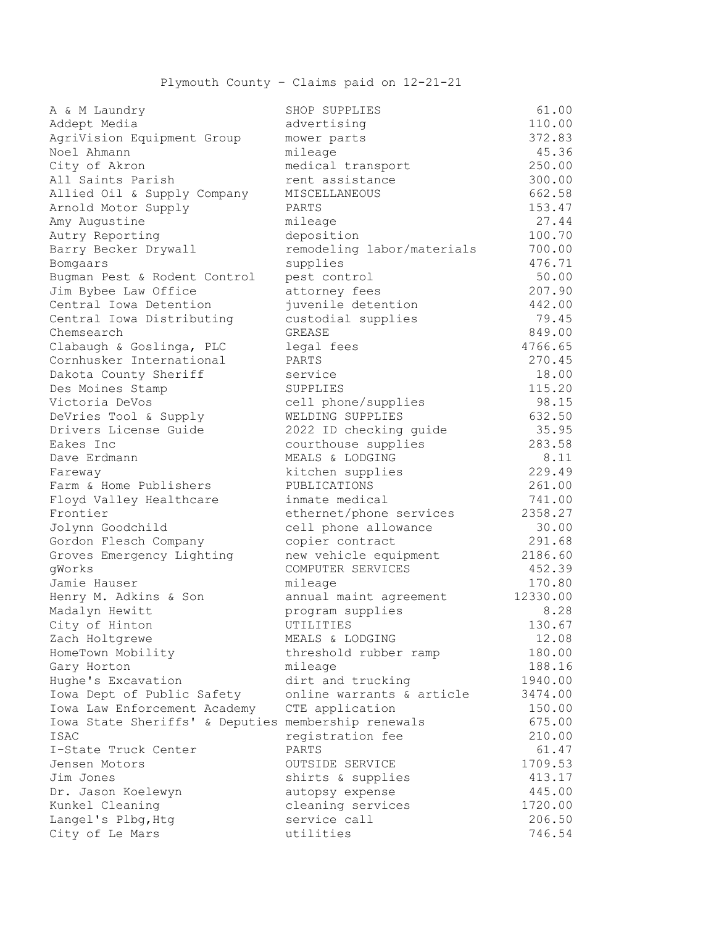| a & m Laundry                                       | PHOR PORETTEP              | OT . OO  |
|-----------------------------------------------------|----------------------------|----------|
| Addept Media                                        | advertising                | 110.00   |
| AgriVision Equipment Group                          | mower parts                | 372.83   |
| Noel Ahmann                                         | mileage                    | 45.36    |
| City of Akron                                       | medical transport          | 250.00   |
| All Saints Parish                                   | rent assistance            | 300.00   |
| Allied Oil & Supply Company                         | MISCELLANEOUS              | 662.58   |
| Arnold Motor Supply                                 | PARTS                      | 153.47   |
| Amy Augustine                                       | mileage                    | 27.44    |
| Autry Reporting                                     | deposition                 | 100.70   |
| Barry Becker Drywall                                | remodeling labor/materials | 700.00   |
| Bomgaars                                            | supplies                   | 476.71   |
| Bugman Pest & Rodent Control                        | pest control               | 50.00    |
| Jim Bybee Law Office                                | attorney fees              | 207.90   |
| Central Iowa Detention                              | juvenile detention         | 442.00   |
| Central Iowa Distributing                           | custodial supplies         | 79.45    |
| Chemsearch                                          | GREASE                     | 849.00   |
| Clabaugh & Goslinga, PLC                            | legal fees                 | 4766.65  |
| Cornhusker International                            | PARTS                      | 270.45   |
| Dakota County Sheriff                               | service                    | 18.00    |
| Des Moines Stamp                                    | SUPPLIES                   | 115.20   |
| Victoria DeVos                                      | cell phone/supplies        | 98.15    |
| DeVries Tool & Supply                               | WELDING SUPPLIES           | 632.50   |
| Drivers License Guide                               | 2022 ID checking guide     | 35.95    |
| Eakes Inc                                           | courthouse supplies        | 283.58   |
| Dave Erdmann                                        | MEALS & LODGING            | 8.11     |
| Fareway                                             | kitchen supplies           | 229.49   |
| Farm & Home Publishers                              | PUBLICATIONS               | 261.00   |
| Floyd Valley Healthcare                             | inmate medical             | 741.00   |
| Frontier                                            | ethernet/phone services    | 2358.27  |
| Jolynn Goodchild                                    | cell phone allowance       | 30.00    |
| Gordon Flesch Company                               | copier contract            | 291.68   |
| Groves Emergency Lighting                           | new vehicle equipment      | 2186.60  |
| gWorks                                              | COMPUTER SERVICES          | 452.39   |
| Jamie Hauser                                        | mileage                    | 170.80   |
| Henry M. Adkins & Son                               | annual maint agreement     | 12330.00 |
| Madalyn Hewitt                                      | program supplies           | 8.28     |
| City of Hinton                                      | UTILITIES                  | 130.67   |
| Zach Holtgrewe                                      | MEALS & LODGING            | 12.08    |
| HomeTown Mobility                                   | threshold rubber ramp      | 180.00   |
| Gary Horton                                         | mileage                    | 188.16   |
| Hughe's Excavation                                  | dirt and trucking          | 1940.00  |
| Iowa Dept of Public Safety                          | online warrants & article  | 3474.00  |
| Iowa Law Enforcement Academy                        | CTE application            | 150.00   |
| Iowa State Sheriffs' & Deputies membership renewals |                            | 675.00   |
| ISAC                                                | registration fee           | 210.00   |
| I-State Truck Center                                | PARTS                      | 61.47    |
| Jensen Motors                                       | OUTSIDE SERVICE            | 1709.53  |
| Jim Jones                                           | shirts & supplies          | 413.17   |
|                                                     |                            |          |
| Dr. Jason Koelewyn                                  | autopsy expense            | 445.00   |
| Kunkel Cleaning                                     | cleaning services          | 1720.00  |
| Langel's Plbg, Htg                                  | service call               | 206.50   |
| City of Le Mars                                     | utilities                  | 746.54   |